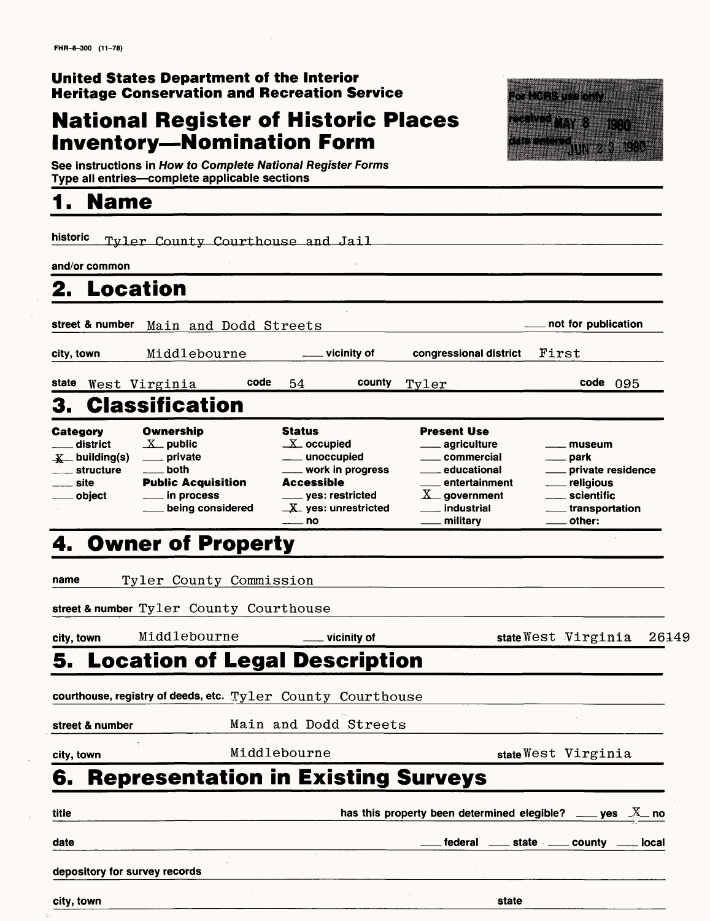#### **United States Department of the Interior Heritage Conservation and Recreation Service**

# **National Register of Historic Places Heritage Conservation and Recreation Ser<br>National Register of Historic<br>Inventory—Nomination Form<br>Actionation is Haute According Hallocker For**



**See instructions in How to Complete National Register Forms Inventory—Nomination Form**<br>See instructions in How to Complete National Register Form<br>Type all entries—complete applicable sections

### **1. Name**

| historic                                                                  | Tyler County Courthouse and Jail                                                               |                                                                                                                                                            |                                                                                                                                                                                         |                                                                                                                                |
|---------------------------------------------------------------------------|------------------------------------------------------------------------------------------------|------------------------------------------------------------------------------------------------------------------------------------------------------------|-----------------------------------------------------------------------------------------------------------------------------------------------------------------------------------------|--------------------------------------------------------------------------------------------------------------------------------|
| and/or common                                                             |                                                                                                |                                                                                                                                                            |                                                                                                                                                                                         |                                                                                                                                |
| <b>Location</b><br>2.                                                     |                                                                                                |                                                                                                                                                            |                                                                                                                                                                                         |                                                                                                                                |
| street & number                                                           | Main and Dodd Streets                                                                          |                                                                                                                                                            |                                                                                                                                                                                         | not for publication                                                                                                            |
| city, town                                                                | Middlebourne                                                                                   | $\equiv$ vicinity of                                                                                                                                       | congressional district                                                                                                                                                                  | First                                                                                                                          |
| state                                                                     | code<br>West Virginia                                                                          | county<br>54                                                                                                                                               | Tyler                                                                                                                                                                                   | $code$ $095$                                                                                                                   |
| 3.                                                                        | <b>Classification</b>                                                                          |                                                                                                                                                            |                                                                                                                                                                                         |                                                                                                                                |
| Category<br>district<br>$\equiv$ structure<br>site<br><sub>—</sub> object | Ownership<br>$X$ public<br>____ private<br>both<br><b>Public Acquisition</b><br>___ in process | Status<br>$\_X$ occupied<br>___ unoccupied<br>____ work in progress<br>Accessible<br>____ yes: restricted<br>$\mathbf{X}$ yes: unrestricted<br>$\equiv$ no | <b>Present Use</b><br><sub>—</sub> agriculture<br><sub>-</sub> commercial<br><sub>-</sub> educational<br>_ entertainment<br>$X_{-}$ government<br>. industrial<br><sub>–</sub> military | museum<br><sub>—</sub> park<br>private residence<br>___ religious<br>scientific<br>$\overline{a}$<br>transportation.<br>other: |
|                                                                           | 4. Owner of Property                                                                           |                                                                                                                                                            |                                                                                                                                                                                         |                                                                                                                                |
| name                                                                      | Tyler County Commission                                                                        |                                                                                                                                                            |                                                                                                                                                                                         |                                                                                                                                |
|                                                                           | street & number Tyler County Courthouse                                                        |                                                                                                                                                            |                                                                                                                                                                                         |                                                                                                                                |
| city, town                                                                | Middlebourne                                                                                   | ____ vicinity of                                                                                                                                           |                                                                                                                                                                                         | state West Virginia<br>26149                                                                                                   |
| 5.                                                                        | <b>Location of Legal Description</b>                                                           |                                                                                                                                                            |                                                                                                                                                                                         |                                                                                                                                |
|                                                                           | courthouse, registry of deeds, etc. $\nabla y \text{1er}$ County Courthouse                    |                                                                                                                                                            |                                                                                                                                                                                         |                                                                                                                                |
| street & number                                                           |                                                                                                | Main and Dodd Streets                                                                                                                                      |                                                                                                                                                                                         |                                                                                                                                |
|                                                                           |                                                                                                | Middlebourne                                                                                                                                               |                                                                                                                                                                                         | state West Virginia                                                                                                            |
| city, town<br>6.                                                          | <b>Representation in Existing Surveys</b>                                                      |                                                                                                                                                            |                                                                                                                                                                                         |                                                                                                                                |
|                                                                           |                                                                                                |                                                                                                                                                            |                                                                                                                                                                                         |                                                                                                                                |
| title                                                                     |                                                                                                |                                                                                                                                                            |                                                                                                                                                                                         | has this property been determined elegible? $\_\_\_\$ yes $\_\_\_\_\$ no                                                       |
| date                                                                      |                                                                                                |                                                                                                                                                            |                                                                                                                                                                                         | federal _____ state ______ county _____ local                                                                                  |
| depository for survey records                                             |                                                                                                |                                                                                                                                                            |                                                                                                                                                                                         |                                                                                                                                |

**city, town state**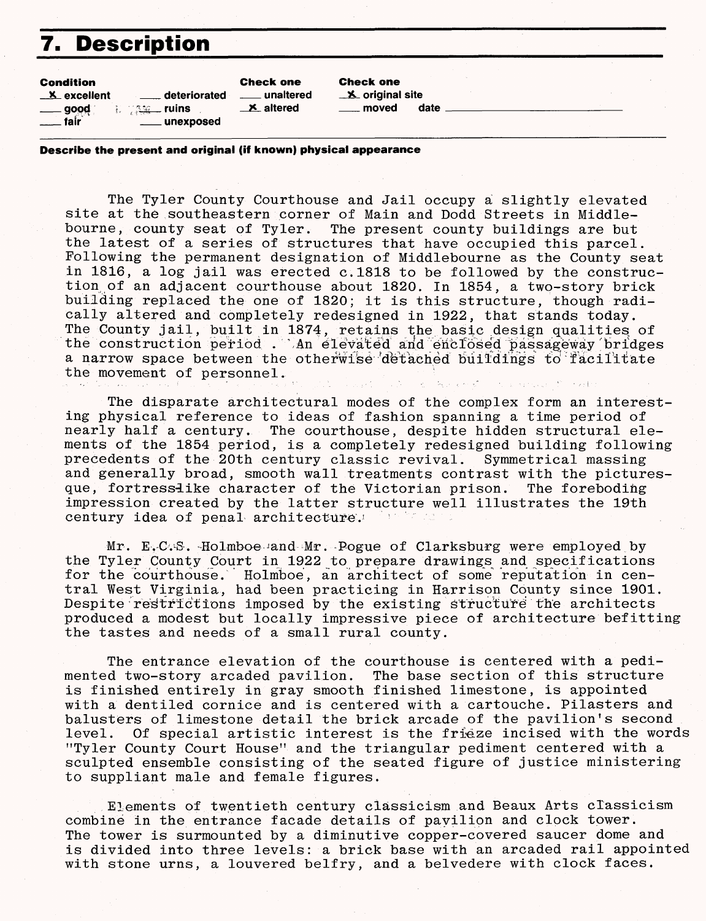### **7. Description**

| Condition          |                | <b>Check one</b>       |  |
|--------------------|----------------|------------------------|--|
| <b>X</b> excellent |                | <u>__</u> __ unaltered |  |
|                    |                | $\mathbf{X}$ altered   |  |
| $\sim$             | ____ unexposed |                        |  |

Check one  $\mathbf{\times}$  original site moved date

**Describe the present and original (iff known) physical appearance**

The Tyler County Courthouse and Jail occupy a slightly elevated site at the southeastern corner of Main and Dodd Streets in Middlebourne, county seat of Tyler. The present county buildings are but the latest of a series of structures that have occupied this parcel. Following the permanent designation of Middlebourne as the County seat in 1816, a log jail was erected c.1818 to be followed by the construction of an adjacent courthouse about 1820. In 1854, a two-story brick building replaced the one of 1820; it is this structure, though radically altered and completely redesigned in 1922, that stands today. The County jail, built in 1874, retains the basic design qualities of the construction period . An elevated and enclosed passageway bridges a narrow space between the otherwise detached buildings to facilitate the movement of personnel.

The disparate architectural modes of the complex form an interesting physical reference to ideas of fashion spanning a time period of nearly half a century. The courthouse, despite hidden structural elements of the 1854 period, is a completely redesigned building following<br>precedents of the 20th century classic revival. Symmetrical massing precedents of the 20th century classic revival. and generally broad, smooth wall treatments contrast with the picturesque, fortressiike character of the Victorian prison. The foreboding impression created by the latter structure well illustrates the 19th century idea of penal architecture.

Mr. E.C.S. Holmboe and Mr. Pogue of Clarksburg were employed by the Tyler County Court in 1922 to prepare drawings and specifications for the courthouse. Holmboe, an architect of some reputation in central West Virginia, had been practicing in Harrison County since 1901. Despite restrictions imposed by the existing structure the architects produced a modest but locally impressive piece of architecture befitting the tastes and needs of a small rural county.

The entrance elevation of the courthouse is centered with a pedimented two-story arcaded pavilion. The base section of this structure is finished entirely in gray smooth finished limestone, is appointed with a dentiled cornice and is centered with a cartouche. Pilasters and balusters of limestone detail the brick arcade of the pavilion's second level. Of special artistic interest is the frieze incised with the words "Tyler County Court House" and the triangular pediment centered with a sculpted ensemble consisting of the seated figure of justice ministering to suppliant male and female figures.

Elements of twentieth century classicism and Beaux Arts classicism combine in the entrance facade details of pavilion and clock tower. The tower is surmounted by a diminutive copper-covered saucer dome and is divided into three levels: a brick base with an arcaded rail appointed with stone urns, a louvered belfry, and a belvedere with clock faces.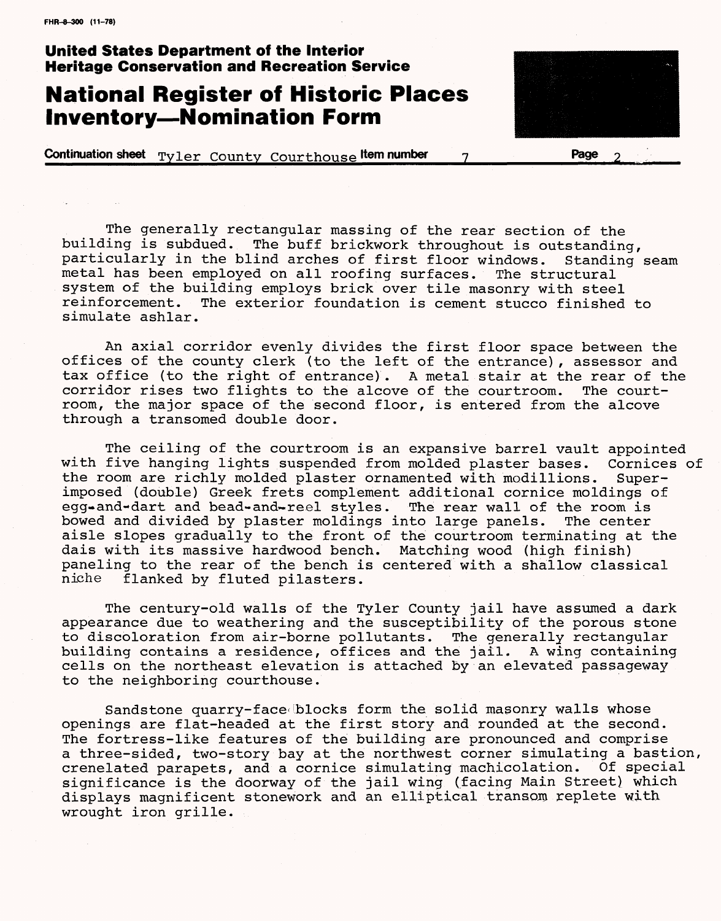#### **United States Department of the Interior Heritage Conservation and Recreation Service**

### **National Register of Historic Places Inventory-Nomination Form**

**Continuation sheet**  $\text{Tyler}$  County Courthouse **ltem number 7** 

The generally rectangular massing of the rear section of the building is subdued. The buff brickwork throughout is outstanding, particularly in the blind arches of first floor windows. Standing seam metal has been employed on all roofing surfaces. The structural system of the building employs brick over tile masonry with steel reinforcement. The exterior foundation is cement stucco finished to simulate ashlar.

An axial corridor evenly divides the first floor space between the offices of the county clerk (to the left of the entrance), assessor and tax office (to the right of entrance). A metal stair at the rear of the corridor rises two flights to the alcove of the courtroom. The courtroom, the major space of the second floor, is entered from the alcove through a transomed double door.

The ceiling of the courtroom is an expansive barrel vault appointed with five hanging lights suspended from molded plaster bases. Cornices of the room are richly molded plaster ornamented with modillions. Superimposed (double) Greek frets complement additional cornice moldings of egg-and-dart and bead-and-reel styles. The rear wall of the room is<br>bowed and divided by plaster moldings into large panels. The center bowed and divided by plaster moldings into large panels. aisle slopes gradually to the front of the courtroom terminating at the dais with its massive hardwood bench. Matching wood (high finish) paneling to the rear of the bench is centered with a shallow classical<br>niche flanked by fluted pilasters. flanked by fluted pilasters.

The century-old walls of the Tyler County jail have assumed a dark appearance due to weathering and the susceptibility of the porous stone to discoloration from air-borne pollutants. The generally rectangular building contains a residence, offices and the jail. A wing containing cells on the northeast elevation is attached by an elevated passageway to the neighboring courthouse.

Sandstone quarry-face blocks form the solid masonry walls whose openings are flat-headed at the first story and rounded at the second. The fortress-like features of the building are pronounced and comprise a three-sided, two-story bay at the northwest corner simulating a bastion, crenelated parapets, and a cornice simulating machicolation. Of special significance is the doorway of the jail wing (facing Main Street) which displays magnificent stonework and an elliptical transom replete with wrought iron grille.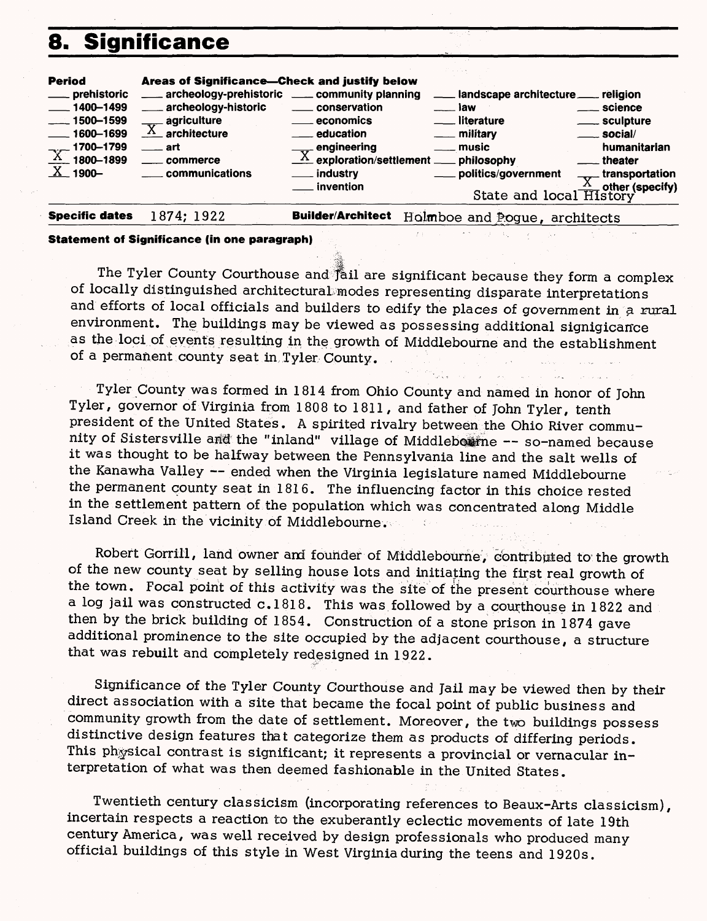### 8.



#### **Statement of Significance (in one paragraph)**

The Tyler County Courthouse and fail are significant because they form a complex of locally distinguished architectural modes representing disparate interpretations and efforts of local officials and builders to edify the places of government in a rural environment. The buildings may be viewed as possessing additional signigicance as the loci of events resulting in the growth of Middlebourne and the establishment of a permanent county seat in Tyler County.

Tyler County was formed in 1814 from Ohio County and named in honor of John Tyler, governor of Virginia from 1808 to 1811, and father of John Tyler, tenth president of the United States. A spirited rivalry between the Ohio River community of Sistersville and the "inland" village of Middleberine -- so-named because it was thought to be halfway between the Pennsylvania line and the salt wells of the Kanawha Valley -- ended when the Virginia legislature named Middlebourne the permanent county seat in 1816. The influencing factor in this choice rested in the settlement pattern of the population which was concentrated along Middle Island Creek in the vicinity of Middlebourne.

Robert Gorrill, land owner and founder of Middlebourne, ebntribpted to the growth of the new county seat by selling house lots and initiating the first real growth of the town. Focal point of this activity was the site of the present courthouse where a log jail was constructed c.1818. This was followed by a courthouse in 1822 and then by the brick building of 1854. Construction of a stone prison in 1874 gave additional prominence to the site occupied by the adjacent courthouse, a structure that was rebuilt and completely redesigned in 1922.

Significance of the Tyler County Courthouse and Jail may be viewed then by their direct association with a site that became the focal point of public business and community growth from the date of settlement. Moreover, the two buildings possess distinctive design features that categorize them as products of differing periods. This physical contrast is significant; it represents a provincial or vernacular interpretation of what was then deemed fashionable in the United States.

Twentieth century classicism (incorporating references to Beaux-Arts classicism), incertain respects a reaction to the exuberantly eclectic movements of late 19th century America, was well received by design professionals who produced many official buildings of this style in West Virginia during the teens and 1920s.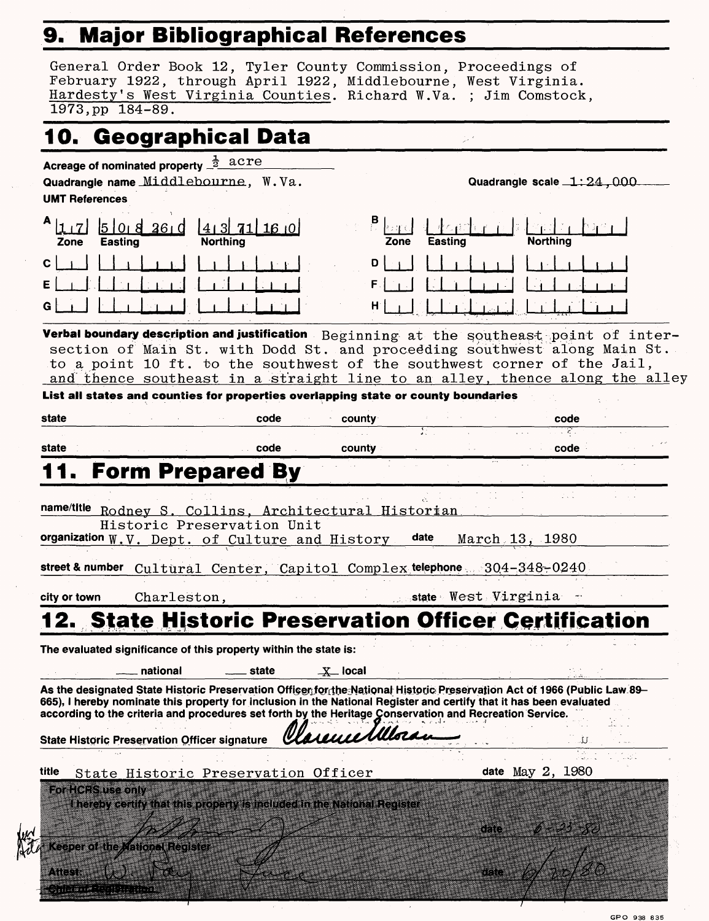## 9. Major Bibliographical References

|                       | 10. Geographical Data                                                                                                                                                                                                                                                                                                                                     |                                    |       |                    |      |                     |                |                           |  |
|-----------------------|-----------------------------------------------------------------------------------------------------------------------------------------------------------------------------------------------------------------------------------------------------------------------------------------------------------------------------------------------------------|------------------------------------|-------|--------------------|------|---------------------|----------------|---------------------------|--|
| <b>UMT References</b> | Acreage of nominated property $\frac{1}{2}$ acre<br>Quadrangle name Middlebourne, W.Va.                                                                                                                                                                                                                                                                   |                                    |       |                    |      |                     |                | Quadrangle scale 1:24,000 |  |
| $A _{1,1}$<br>Zone    | l5 loi 8 26 i d<br><b>Easting</b>                                                                                                                                                                                                                                                                                                                         | ا0 16 111 18 14<br><b>Northing</b> |       |                    | Zone | Easting             |                | <b>Northing</b>           |  |
| C<br>Ε<br>G           |                                                                                                                                                                                                                                                                                                                                                           |                                    |       | D<br>H             |      |                     |                |                           |  |
|                       | Verbal boundary description and justification Beginning at the southeast point of inter-<br>section of Main St. with Dodd St. and proceeding southwest along Main St.<br>to a point 10 ft. to the southwest of the southwest corner of the Jail,<br>and thence southeast in a straight line to an alley, thence along the alley                           |                                    |       |                    |      |                     |                |                           |  |
|                       | List all states and counties for properties overlapping state or county boundaries                                                                                                                                                                                                                                                                        |                                    |       |                    |      |                     |                |                           |  |
| state                 |                                                                                                                                                                                                                                                                                                                                                           |                                    | code  | county             |      | ŦΓ                  |                | code<br>38.               |  |
| state                 |                                                                                                                                                                                                                                                                                                                                                           |                                    | code  |                    |      |                     |                | code                      |  |
|                       | <b>Form Prepared By</b>                                                                                                                                                                                                                                                                                                                                   |                                    |       | county             |      |                     |                |                           |  |
|                       | name/title Rodney S. Collins, Architectural Historian<br>Historic Preservation Unit<br>organization W.V. Dept. of Culture and History<br>street & number Cultural Center, Capitol Complex telephone 304-348-0240                                                                                                                                          |                                    |       |                    | date |                     | March 13, 1980 |                           |  |
|                       | Charleston,                                                                                                                                                                                                                                                                                                                                               |                                    |       |                    |      | state West Virginia |                |                           |  |
|                       |                                                                                                                                                                                                                                                                                                                                                           |                                    |       |                    |      |                     |                |                           |  |
|                       | <b>12. State Historic Preservation Officer Certification</b><br>The evaluated significance of this property within the state is:                                                                                                                                                                                                                          |                                    |       |                    |      |                     |                |                           |  |
| city or town          | national                                                                                                                                                                                                                                                                                                                                                  |                                    | state | $\mathbf{X}$ local |      |                     |                |                           |  |
|                       | As the designated State Historic Preservation Officenfor the National Historic Preservation Act of 1966 (Public Law 89-<br>665), I hereby nominate this property for inclusion in the National Register and certify that it has been evaluated<br>according to the criteria and procedures set forth by the Heritage Conservation and Recreation Service. |                                    |       | arence Miloran     |      |                     |                |                           |  |
|                       | <b>State Historic Preservation Officer signature</b>                                                                                                                                                                                                                                                                                                      |                                    |       |                    |      |                     |                | date May 2, 1980          |  |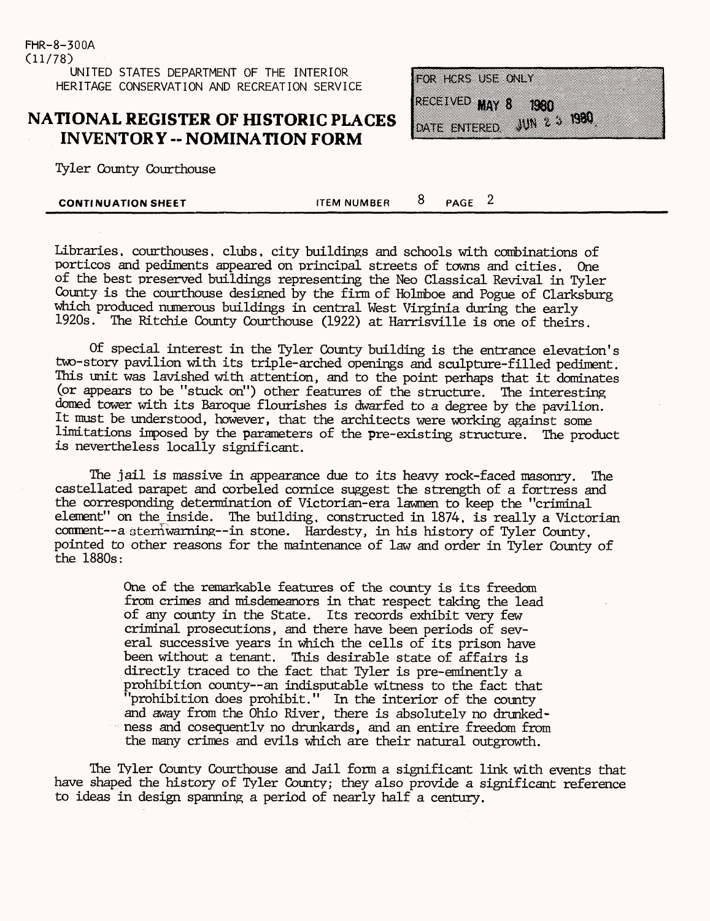FHR-8-300A (11/78) UNITED STATES DEPARTMENT OF THE INTERIOR HERITAGE CONSERVATION AND RECREATION SERVICE

#### **NATIONAL REGISTER OF HISTORIC PLACES INVENTORY - NOMINATION FORM**

Tyler County Courthouse

FOR HORS USE ONLY RECEIVED MAY 8  $(2.38)$  $\frac{100}{2}$  ,  $\frac{1000}{2}$ **DATE ENTERED** 

**CONTINUATION SHEET ITEM NUMBER**  $\overline{8}$  **PAGE** 2

Libraries, courthouses, clubs, city buildings and schools with combinations of porticos and pediments appeared on principal streets of towns and cities. One of the best preserved buildings representing the Neo Classical Revival in Tyler County is the courthouse designed by the firm of Holniboe and Pogue of Clarksburg which produced numerous buildings in central West Virginia during the early 1920s. The Ritchie County Courthouse (1922) at Harrisville is one of theirs.

Of special interest in the Tyler County building is the entrance elevation's two-story pavilion with its triple-arched openings and sculpture-filled pediment. This unit was lavished with attention, and to the point perhaps that it dominates (or appears to be "stuck on") other features of the structure. The interesting domed tower with its Baroque flourishes is dwarfed to a degree by the pavilion. It must be understood, however, that the architects were working against some limitations imposed by the parameters of the pre-existing structure. The product is nevertheless locally significant.

The jail is massive in appearance due to its heavy rock-faced masonry. The castellated parapet and corbeled cornice suggest the strength of a fortress and the corresponding determination of Victorian-era lawmen to keep the "criminal element" on the inside. The building, constructed in 1874, is really a Victorian comment -- a stern warning -- in stone. Hardesty, in his history of Tyler County, pointed to other reasons for the maintenance of law and order in Tyler County of the 1880s:

> One of the remarkable features of the county is its freedom from crimes and misdemeanors in that respect taking the lead of any county in the State. Its records exhibit very few criminal prosecutions, and there have been periods of several successive years in which the cells of its prison have been without a tenant. This desirable state of affairs is directly traced to the fact that Tyler is pre-eminently a prohibition county--an indisputable witness to the fact that "prohibition does prohibit." In the interior of the county and away from the Ohio River, there is absolutely no drunkedness and cosequently no drunkards, and an entire freedom from the many crimes and evils which are their natural outgrowth.

The Tyler County Courthouse and Jail form a significant link with events that have shaped the history of Tyler County; they also provide a significant reference to ideas in design spanning a period of nearly half a century.